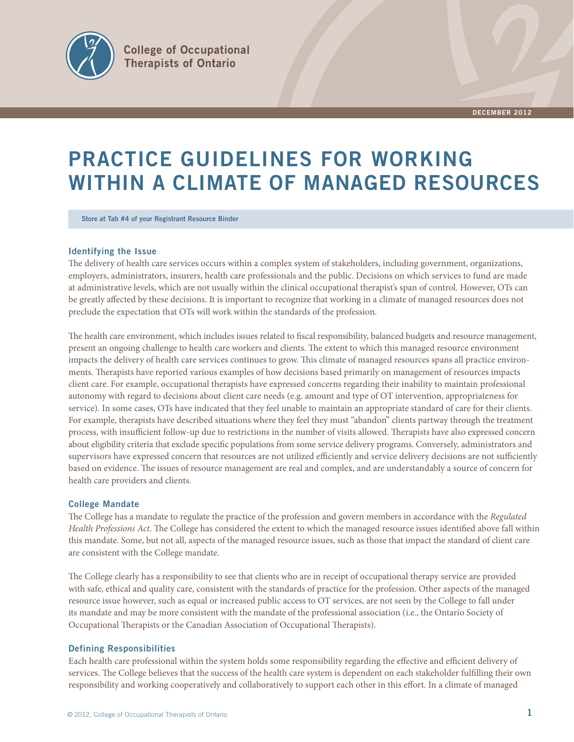

# **PRACTICE GUIDELINES FOR WORKING WITHIN A CLIMATE OF MANAGED RESOURCES**

**Store at Tab #4 of your Registrant Resource Binder**

# **Identifying the Issue**

The delivery of health care services occurs within a complex system of stakeholders, including government, organizations, employers, administrators, insurers, health care professionals and the public. Decisions on which services to fund are made at administrative levels, which are not usually within the clinical occupational therapist's span of control. However, OTs can be greatly affected by these decisions. It is important to recognize that working in a climate of managed resources does not preclude the expectation that OTs will work within the standards of the profession.

The health care environment, which includes issues related to fiscal responsibility, balanced budgets and resource management, present an ongoing challenge to health care workers and clients. The extent to which this managed resource environment impacts the delivery of health care services continues to grow. This climate of managed resources spans all practice environments. Therapists have reported various examples of how decisions based primarily on management of resources impacts client care. For example, occupational therapists have expressed concerns regarding their inability to maintain professional autonomy with regard to decisions about client care needs (e.g. amount and type of OT intervention, appropriateness for service). In some cases, OTs have indicated that they feel unable to maintain an appropriate standard of care for their clients. For example, therapists have described situations where they feel they must "abandon" clients partway through the treatment process, with insufficient follow-up due to restrictions in the number of visits allowed. Therapists have also expressed concern about eligibility criteria that exclude specific populations from some service delivery programs. Conversely, administrators and supervisors have expressed concern that resources are not utilized efficiently and service delivery decisions are not sufficiently based on evidence. The issues of resource management are real and complex, and are understandably a source of concern for health care providers and clients.

#### **College Mandate**

The College has a mandate to regulate the practice of the profession and govern members in accordance with the *Regulated* Health Professions Act. The College has considered the extent to which the managed resource issues identified above fall within this mandate. Some, but not all, aspects of the managed resource issues, such as those that impact the standard of client care are consistent with the College mandate.

The College clearly has a responsibility to see that clients who are in receipt of occupational therapy service are provided with safe, ethical and quality care, consistent with the standards of practice for the profession. Other aspects of the managed resource issue however, such as equal or increased public access to OT services, are not seen by the College to fall under its mandate and may be more consistent with the mandate of the professional association (i.e., the Ontario Society of Occupational Therapists or the Canadian Association of Occupational Therapists).

### **Defining Responsibilities**

Each health care professional within the system holds some responsibility regarding the effective and efficient delivery of services. The College believes that the success of the health care system is dependent on each stakeholder fulfilling their own responsibility and working cooperatively and collaboratively to support each other in this effort. In a climate of managed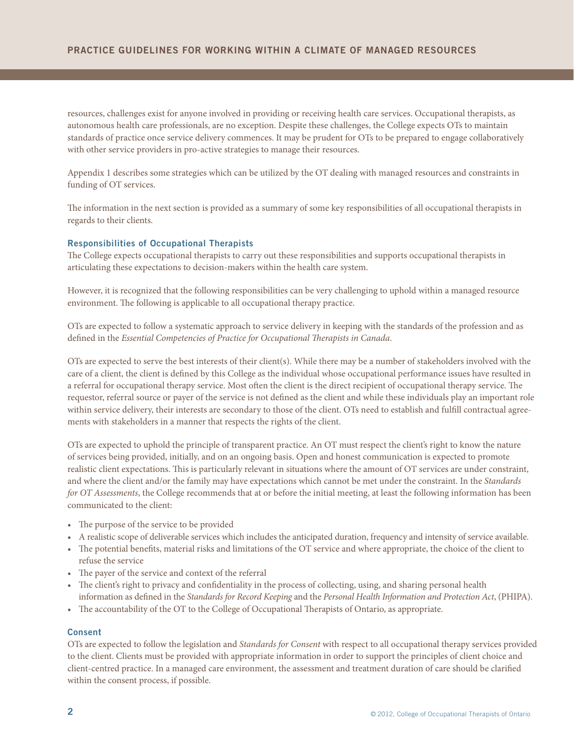resources, challenges exist for anyone involved in providing or receiving health care services. Occupational therapists, as autonomous health care professionals, are no exception. Despite these challenges, the College expects OTs to maintain standards of practice once service delivery commences. It may be prudent for OTs to be prepared to engage collaboratively with other service providers in pro-active strategies to manage their resources.

Appendix 1 describes some strategies which can be utilized by the OT dealing with managed resources and constraints in funding of OT services.

The information in the next section is provided as a summary of some key responsibilities of all occupational therapists in regards to their clients.

## **Responsibilities of Occupational Therapists**

The College expects occupational therapists to carry out these responsibilities and supports occupational therapists in articulating these expectations to decision-makers within the health care system.

However, it is recognized that the following responsibilities can be very challenging to uphold within a managed resource environment. The following is applicable to all occupational therapy practice.

OTs are expected to follow a systematic approach to service delivery in keeping with the standards of the profession and as defined in the *Essential Competencies of Practice for Occupational Therapists in Canada*.

OTs are expected to serve the best interests of their client(s). While there may be a number of stakeholders involved with the care of a client, the client is defined by this College as the individual whose occupational performance issues have resulted in a referral for occupational therapy service. Most often the client is the direct recipient of occupational therapy service. The requestor, referral source or payer of the service is not defined as the client and while these individuals play an important role within service delivery, their interests are secondary to those of the client. OTs need to establish and fulfill contractual agreements with stakeholders in a manner that respects the rights of the client.

OTs are expected to uphold the principle of transparent practice. An OT must respect the client's right to know the nature of services being provided, initially, and on an ongoing basis. Open and honest communication is expected to promote realistic client expectations. This is particularly relevant in situations where the amount of OT services are under constraint, and where the client and/or the family may have expectations which cannot be met under the constraint. In the *Standards for OT Assessments*, the College recommends that at or before the initial meeting, at least the following information has been communicated to the client:

- The purpose of the service to be provided
- A realistic scope of deliverable services which includes the anticipated duration, frequency and intensity of service available.
- The potential benefits, material risks and limitations of the OT service and where appropriate, the choice of the client to refuse the service
- The payer of the service and context of the referral
- The client's right to privacy and confidentiality in the process of collecting, using, and sharing personal health information as defined in the *Standards for Record Keeping* and the *Personal Health Information and Protection Act*, (PHIPA).
- The accountability of the OT to the College of Occupational Therapists of Ontario, as appropriate.

#### **Consent**

OTs are expected to follow the legislation and *Standards for Consent* with respect to all occupational therapy services provided to the client. Clients must be provided with appropriate information in order to support the principles of client choice and client-centred practice. In a managed care environment, the assessment and treatment duration of care should be clarified within the consent process, if possible.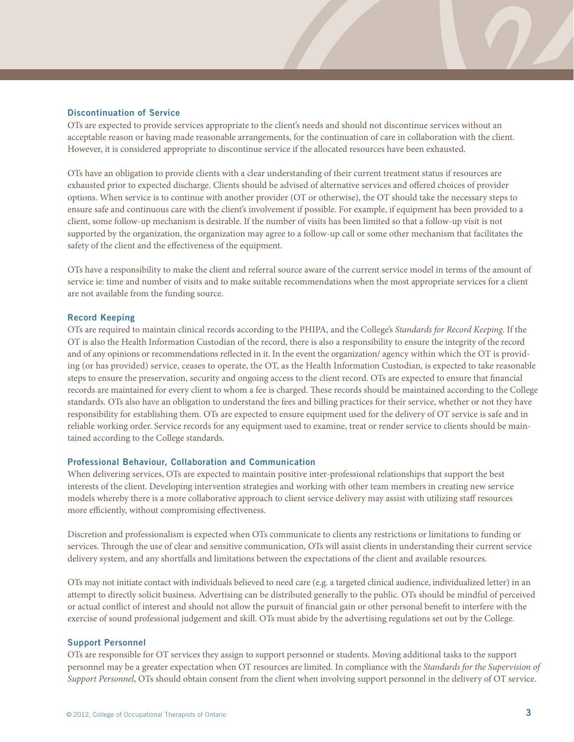#### **Discontinuation of Service**

OTs are expected to provide services appropriate to the client's needs and should not discontinue services without an acceptable reason or having made reasonable arrangements, for the continuation of care in collaboration with the client. However, it is considered appropriate to discontinue service if the allocated resources have been exhausted.

OTs have an obligation to provide clients with a clear understanding of their current treatment status if resources are exhausted prior to expected discharge. Clients should be advised of alternative services and offered choices of provider options. When service is to continue with another provider (OT or otherwise), the OT should take the necessary steps to ensure safe and continuous care with the client's involvement if possible. For example, if equipment has been provided to a client, some follow-up mechanism is desirable. If the number of visits has been limited so that a follow-up visit is not supported by the organization, the organization may agree to a follow-up call or some other mechanism that facilitates the safety of the client and the effectiveness of the equipment.

OTs have a responsibility to make the client and referral source aware of the current service model in terms of the amount of service ie: time and number of visits and to make suitable recommendations when the most appropriate services for a client are not available from the funding source.

#### **Record Keeping**

OTs are required to maintain clinical records according to the PHIPA, and the College's *Standards for Record Keeping*. If the OT is also the Health Information Custodian of the record, there is also a responsibility to ensure the integrity of the record and of any opinions or recommendations reflected in it. In the event the organization/ agency within which the OT is providing (or has provided) service, ceases to operate, the OT, as the Health Information Custodian, is expected to take reasonable steps to ensure the preservation, security and ongoing access to the client record. OTs are expected to ensure that financial records are maintained for every client to whom a fee is charged. These records should be maintained according to the College standards. OTs also have an obligation to understand the fees and billing practices for their service, whether or not they have responsibility for establishing them. OTs are expected to ensure equipment used for the delivery of OT service is safe and in reliable working order. Service records for any equipment used to examine, treat or render service to clients should be maintained according to the College standards.

#### **Professional Behaviour, Collaboration and Communication**

When delivering services, OTs are expected to maintain positive inter-professional relationships that support the best interests of the client. Developing intervention strategies and working with other team members in creating new service models whereby there is a more collaborative approach to client service delivery may assist with utilizing staff resources more efficiently, without compromising effectiveness.

Discretion and professionalism is expected when OTs communicate to clients any restrictions or limitations to funding or services. Through the use of clear and sensitive communication, OTs will assist clients in understanding their current service delivery system, and any shortfalls and limitations between the expectations of the client and available resources.

OTs may not initiate contact with individuals believed to need care (e.g. a targeted clinical audience, individualized letter) in an attempt to directly solicit business. Advertising can be distributed generally to the public. OTs should be mindful of perceived or actual conflict of interest and should not allow the pursuit of financial gain or other personal benefit to interfere with the exercise of sound professional judgement and skill. OTs must abide by the advertising regulations set out by the College.

#### **Support Personnel**

OTs are responsible for OT services they assign to support personnel or students. Moving additional tasks to the support personnel may be a greater expectation when OT resources are limited. In compliance with the *Standards for the Supervision of Support Personnel*, OTs should obtain consent from the client when involving support personnel in the delivery of OT service.